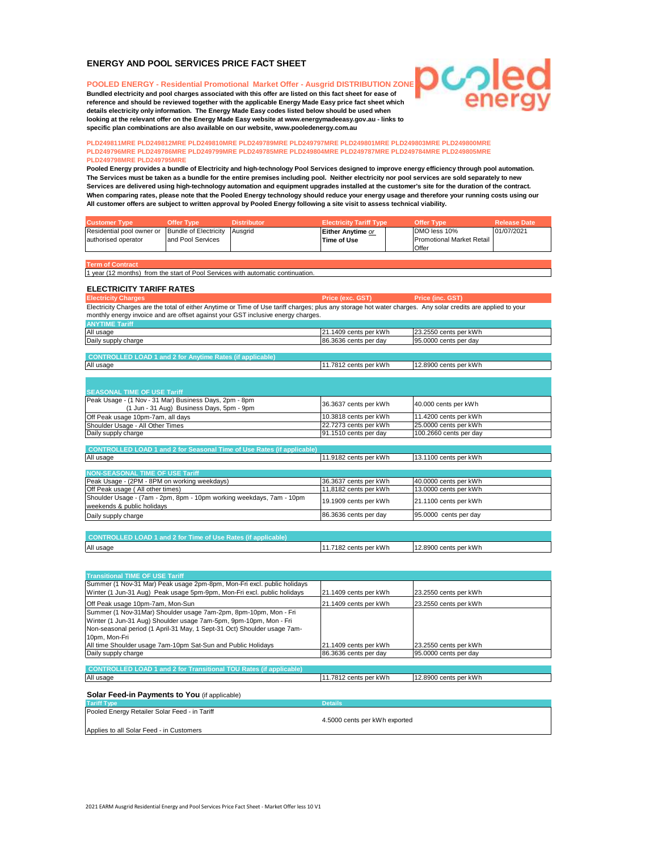# **ENERGY AND POOL SERVICES PRICE FACT SHEET**

**POOLED ENERGY - Residential Promotional Market Offer - Ausgrid DISTRIBUTION ZONE Bundled electricity and pool charges associated with this offer are listed on this fact sheet for ease of reference and should be reviewed together with the applicable Energy Made Easy price fact sheet which details electricity only information. The Energy Made Easy codes listed below should be used when looking at the relevant offer on the Energy Made Easy website at www.energymadeeasy.gov.au - links to specific plan combinations are also available on our website, www.pooledenergy.com.au**

#### **PLD249811MRE PLD249812MRE PLD249810MRE PLD249789MRE PLD249797MRE PLD249801MRE PLD249803MRE PLD249800MRE PLD249796MRE PLD249786MRE PLD249799MRE PLD249785MRE PLD249804MRE PLD249787MRE PLD249784MRE PLD249805MRE PLD249798MRE PLD249795MRE**

**All customer offers are subject to written approval by Pooled Energy following a site visit to assess technical viability. Services are delivered using high-technology automation and equipment upgrades installed at the customer's site for the duration of the contract. Pooled Energy provides a bundle of Electricity and high-technology Pool Services designed to improve energy efficiency through pool automation. When comparing rates, please note that the Pooled Energy technology should reduce your energy usage and therefore your running costs using our The Services must be taken as a bundle for the entire premises including pool. Neither electricity nor pool services are sold separately to new** 

**DCつ** 

| <b>Customer Type</b>                                    | <b>Offer Type</b> | <b>Distributor</b> | <b>Electricity Tariff Type</b> | <b>Offer Type</b>                | <b>Release Date</b> |
|---------------------------------------------------------|-------------------|--------------------|--------------------------------|----------------------------------|---------------------|
| Residential pool owner or Bundle of Electricity Ausgrid |                   |                    | Either Anytime or              | DMO less 10%                     | 01/07/2021          |
| authorised operator                                     | and Pool Services |                    | Time of Use                    | <b>Promotional Market Retail</b> |                     |
|                                                         |                   |                    |                                | Offer                            |                     |
|                                                         |                   |                    |                                |                                  |                     |

**Prm of Contra** 

1 year (12 months) from the start of Pool Services with automatic continuation.

# **ELECTRICITY TARIFF RATES**

**Price (exc. GST) Price (inc. GST)** Electricity Charges are the total of either Anytime or Time of Use tariff charges; plus any storage hot water charges. Any solar credits are applied to your monthly energy invoice and are offset against your GST inclusive energy charges. **Electricity Charges** 

| <b>ANYTIME Tariff</b>                                                         |                       |                                                                                                                                                                                                      |
|-------------------------------------------------------------------------------|-----------------------|------------------------------------------------------------------------------------------------------------------------------------------------------------------------------------------------------|
| All usage                                                                     | 21.1409 cents per kWh | 23.2550 cents per kWh                                                                                                                                                                                |
| Daily supply charge                                                           | 86.3636 cents per day | 95.0000 cents per day                                                                                                                                                                                |
|                                                                               |                       |                                                                                                                                                                                                      |
| <b>CONTROLLED LOAD 1 and 2 for Anytime Rates (if applicable)</b>              |                       |                                                                                                                                                                                                      |
| All usage                                                                     | 11.7812 cents per kWh | 12.8900 cents per kWh                                                                                                                                                                                |
|                                                                               |                       |                                                                                                                                                                                                      |
|                                                                               |                       |                                                                                                                                                                                                      |
| <b>SEASONAL TIME OF USE Tariff</b>                                            |                       |                                                                                                                                                                                                      |
| Peak Usage - (1 Nov - 31 Mar) Business Days, 2pm - 8pm                        | 36.3637 cents per kWh | 40.000 cents per kWh<br>11.4200 cents per kWh<br>25.0000 cents per kWh<br>100.2660 cents per day<br>13.1100 cents per kWh<br>40.0000 cents per kWh<br>13.0000 cents per kWh<br>21.1100 cents per kWh |
| (1 Jun - 31 Aug) Business Days, 5pm - 9pm                                     |                       |                                                                                                                                                                                                      |
| Off Peak usage 10pm-7am, all days                                             | 10.3818 cents per kWh |                                                                                                                                                                                                      |
| Shoulder Usage - All Other Times                                              | 22.7273 cents per kWh |                                                                                                                                                                                                      |
| Daily supply charge                                                           | 91.1510 cents per day |                                                                                                                                                                                                      |
|                                                                               |                       |                                                                                                                                                                                                      |
| <b>CONTROLLED LOAD 1 and 2 for Seasonal Time of Use Rates (if applicable)</b> |                       |                                                                                                                                                                                                      |
| All usage                                                                     | 11.9182 cents per kWh |                                                                                                                                                                                                      |
|                                                                               |                       |                                                                                                                                                                                                      |
| <b>NON-SEASONAL TIME OF USE Tariff</b>                                        |                       |                                                                                                                                                                                                      |
| Peak Usage - (2PM - 8PM on working weekdays)                                  | 36.3637 cents per kWh |                                                                                                                                                                                                      |
| Off Peak usage (All other times)                                              | 11,8182 cents per kWh |                                                                                                                                                                                                      |
| Shoulder Usage - (7am - 2pm, 8pm - 10pm working weekdays, 7am - 10pm          | 19.1909 cents per kWh |                                                                                                                                                                                                      |

| weekends & public holidays                                                                                                                                                                                                                                                                                            |                       |                       |  |
|-----------------------------------------------------------------------------------------------------------------------------------------------------------------------------------------------------------------------------------------------------------------------------------------------------------------------|-----------------------|-----------------------|--|
| Daily supply charge                                                                                                                                                                                                                                                                                                   | 86,3636 cents per day | 95,0000 cents per day |  |
|                                                                                                                                                                                                                                                                                                                       |                       |                       |  |
| $0.001$ $\frac{1}{2}$ $\frac{1}{2}$ $\frac{1}{2}$ $\frac{1}{2}$ $\frac{1}{2}$ $\frac{1}{2}$ $\frac{1}{2}$ $\frac{1}{2}$ $\frac{1}{2}$ $\frac{1}{2}$ $\frac{1}{2}$ $\frac{1}{2}$ $\frac{1}{2}$ $\frac{1}{2}$ $\frac{1}{2}$ $\frac{1}{2}$ $\frac{1}{2}$ $\frac{1}{2}$ $\frac{1}{2}$ $\frac{1}{2}$ $\frac{1}{2}$ $\frac$ |                       |                       |  |

| CONTROLLED LOAD 1 and 2 for Time of Use Rates (if app<br>чока |                           |                       |  |
|---------------------------------------------------------------|---------------------------|-----------------------|--|
| All usage                                                     | ? cents per kWh<br>ె182 c | 12,8900 cents per kWh |  |

| <b>Transitional TIME OF USE Tariff</b>                                    |                       |                       |  |
|---------------------------------------------------------------------------|-----------------------|-----------------------|--|
| Summer (1 Nov-31 Mar) Peak usage 2pm-8pm, Mon-Fri excl. public holidays   |                       |                       |  |
| Winter (1 Jun-31 Aug) Peak usage 5pm-9pm, Mon-Fri excl. public holidays   | 21.1409 cents per kWh | 23.2550 cents per kWh |  |
| Off Peak usage 10pm-7am, Mon-Sun                                          | 21.1409 cents per kWh | 23.2550 cents per kWh |  |
| Summer (1 Nov-31Mar) Shoulder usage 7am-2pm, 8pm-10pm, Mon - Fri          |                       |                       |  |
| Winter (1 Jun-31 Aug) Shoulder usage 7am-5pm, 9pm-10pm, Mon - Fri         |                       |                       |  |
| Non-seasonal period (1 April-31 May, 1 Sept-31 Oct) Shoulder usage 7am-   |                       |                       |  |
| 10pm, Mon-Fri                                                             |                       |                       |  |
| All time Shoulder usage 7am-10pm Sat-Sun and Public Holidays              | 21.1409 cents per kWh | 23.2550 cents per kWh |  |
| Daily supply charge                                                       | 86.3636 cents per day | 95,0000 cents per day |  |
|                                                                           |                       |                       |  |
| <b>CONTROLLED LOAD 1 and 2 for Transitional TOU Rates (if applicable)</b> |                       |                       |  |
| All usage                                                                 | 11.7812 cents per kWh | 12,8900 cents per kWh |  |
|                                                                           |                       |                       |  |
| <b>Solar Feed-in Payments to You</b> (if applicable)                      |                       |                       |  |

**Tariff Type Details** Pooled Energy Retailer Solar Feed - in Tariff Applies to all Solar Feed - in Customers 4.5000 cents per kWh exported